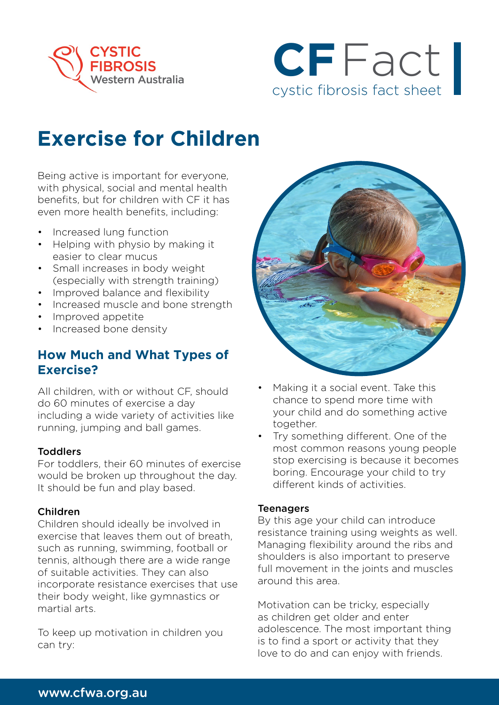



# **Exercise for Children**

Being active is important for everyone, with physical, social and mental health benefits, but for children with CF it has even more health benefits, including:

- Increased lung function
- Helping with physio by making it easier to clear mucus
- Small increases in body weight (especially with strength training)
- Improved balance and flexibility
- Increased muscle and bone strength
- Improved appetite
- Increased bone density

### **How Much and What Types of Exercise?**

All children, with or without CF, should do 60 minutes of exercise a day including a wide variety of activities like running, jumping and ball games.

#### **Toddlers**

For toddlers, their 60 minutes of exercise would be broken up throughout the day. It should be fun and play based.

#### Children

Children should ideally be involved in exercise that leaves them out of breath, such as running, swimming, football or tennis, although there are a wide range of suitable activities. They can also incorporate resistance exercises that use their body weight, like gymnastics or martial arts.

To keep up motivation in children you can try:



- Making it a social event. Take this chance to spend more time with your child and do something active together.
- Try something different. One of the most common reasons young people stop exercising is because it becomes boring. Encourage your child to try different kinds of activities.

#### **Teenagers**

By this age your child can introduce resistance training using weights as well. Managing flexibility around the ribs and shoulders is also important to preserve full movement in the joints and muscles around this area.

Motivation can be tricky, especially as children get older and enter adolescence. The most important thing is to find a sport or activity that they love to do and can enjoy with friends.